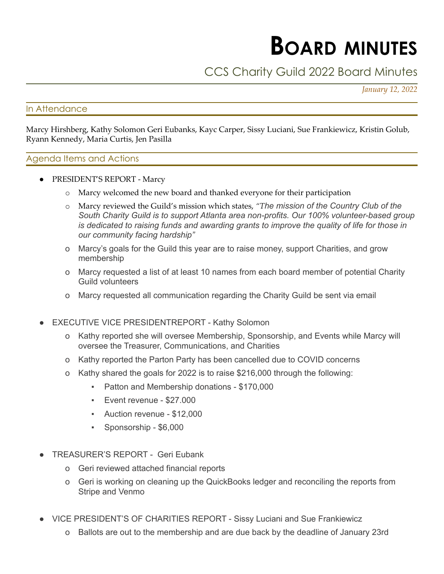# **BOARD MINUTES**

# CCS Charity Guild 2022 Board Minutes

*January 12, 2022*

## In Attendance

Marcy Hirshberg, Kathy Solomon Geri Eubanks, Kayc Carper, Sissy Luciani, Sue Frankiewicz, Kristin Golub, Ryann Kennedy, Maria Curtis, Jen Pasilla

### Agenda Items and Actions

- PRESIDENT'S REPORT Marcy
	- o Marcy welcomed the new board and thanked everyone for their participation
	- o Marcy reviewed the Guild's mission which states, *"The mission of the Country Club of the South Charity Guild is to support Atlanta area non-profits. Our 100% volunteer-based group is dedicated to raising funds and awarding grants to improve the quality of life for those in our community facing hardship"*
	- o Marcy's goals for the Guild this year are to raise money, support Charities, and grow membership
	- o Marcy requested a list of at least 10 names from each board member of potential Charity Guild volunteers
	- o Marcy requested all communication regarding the Charity Guild be sent via email
- **EXECUTIVE VICE PRESIDENTREPORT Kathy Solomon** 
	- o Kathy reported she will oversee Membership, Sponsorship, and Events while Marcy will oversee the Treasurer, Communications, and Charities
	- o Kathy reported the Parton Party has been cancelled due to COVID concerns
	- o Kathy shared the goals for 2022 is to raise \$216,000 through the following:
		- Patton and Membership donations \$170,000
		- Event revenue \$27.000
		- Auction revenue \$12,000
		- Sponsorship \$6,000
- TREASURER'S REPORT Geri Eubank
	- o Geri reviewed attached financial reports
	- o Geri is working on cleaning up the QuickBooks ledger and reconciling the reports from Stripe and Venmo
- VICE PRESIDENT'S OF CHARITIES REPORT Sissy Luciani and Sue Frankiewicz
	- o Ballots are out to the membership and are due back by the deadline of January 23rd